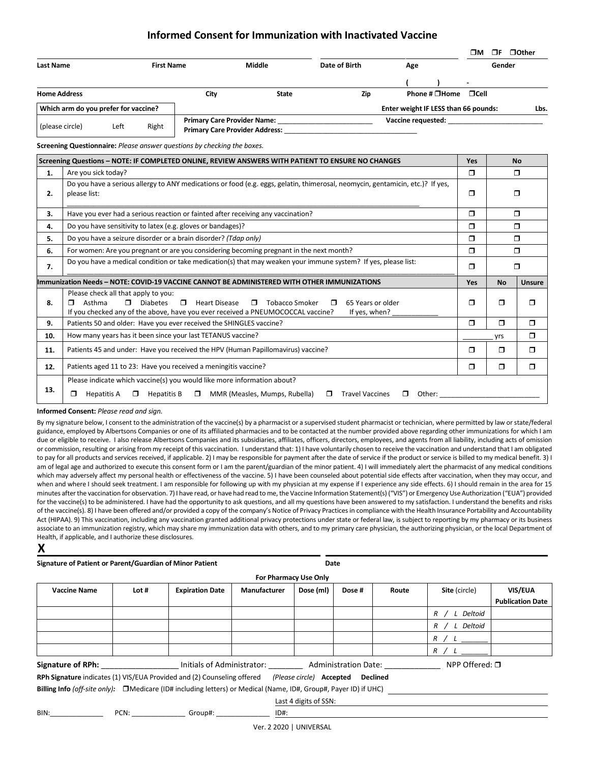## **Informed Consent for Immunization with Inactivated Vaccine**

|                                                                                             |                                                                                                                                                |                    |                                |                                                                                   |                         |                                              |        |                                      | ⊓м            |               | □F □ Other |
|---------------------------------------------------------------------------------------------|------------------------------------------------------------------------------------------------------------------------------------------------|--------------------|--------------------------------|-----------------------------------------------------------------------------------|-------------------------|----------------------------------------------|--------|--------------------------------------|---------------|---------------|------------|
| <b>Last Name</b>                                                                            |                                                                                                                                                | <b>First Name</b>  |                                | Middle                                                                            |                         | Date of Birth                                | Age    |                                      |               | Gender        |            |
| <b>Home Address</b>                                                                         |                                                                                                                                                |                    | City                           |                                                                                   | <b>State</b>            | Zip                                          |        | Phone # $\Box$ Home                  | $\sqcap$ Cell |               |            |
|                                                                                             | Which arm do you prefer for vaccine?                                                                                                           |                    |                                |                                                                                   |                         |                                              |        | Enter weight IF LESS than 66 pounds: |               |               | Lbs.       |
| (please circle)                                                                             | Left                                                                                                                                           | Right              |                                | <b>Primary Care Provider Name:</b> Name:<br><b>Primary Care Provider Address:</b> |                         |                                              |        | Vaccine requested:                   |               |               |            |
|                                                                                             | Screening Questionnaire: Please answer questions by checking the boxes.                                                                        |                    |                                |                                                                                   |                         |                                              |        |                                      |               |               |            |
|                                                                                             | Screening Questions - NOTE: IF COMPLETED ONLINE, REVIEW ANSWERS WITH PATIENT TO ENSURE NO CHANGES                                              |                    |                                |                                                                                   |                         |                                              |        |                                      | <b>Yes</b>    |               | <b>No</b>  |
| 1.                                                                                          | Are you sick today?                                                                                                                            |                    |                                |                                                                                   |                         |                                              |        |                                      | $\Box$        |               | ⊓          |
| 2.                                                                                          | Do you have a serious allergy to ANY medications or food (e.g. eggs, gelatin, thimerosal, neomycin, gentamicin, etc.)? If yes,<br>please list: |                    |                                |                                                                                   |                         |                                              | $\Box$ |                                      | $\Box$        |               |            |
| 3.                                                                                          | Have you ever had a serious reaction or fainted after receiving any vaccination?                                                               |                    |                                |                                                                                   |                         |                                              |        | $\Box$                               | $\Box$        |               |            |
| 4.                                                                                          | Do you have sensitivity to latex (e.g. gloves or bandages)?                                                                                    |                    |                                |                                                                                   |                         |                                              | $\Box$ | $\Box$                               |               |               |            |
| 5.                                                                                          | Do you have a seizure disorder or a brain disorder? (Tdap only)                                                                                |                    |                                |                                                                                   |                         |                                              | $\Box$ | $\Box$                               |               |               |            |
| 6.                                                                                          | For women: Are you pregnant or are you considering becoming pregnant in the next month?                                                        |                    |                                |                                                                                   |                         |                                              | $\Box$ |                                      | $\Box$        |               |            |
| 7.                                                                                          | Do you have a medical condition or take medication(s) that may weaken your immune system? If yes, please list:                                 |                    |                                |                                                                                   |                         |                                              | Π      | $\Box$                               |               |               |            |
| Immunization Needs - NOTE: COVID-19 VACCINE CANNOT BE ADMINISTERED WITH OTHER IMMUNIZATIONS |                                                                                                                                                |                    |                                |                                                                                   |                         |                                              |        | Yes                                  | <b>No</b>     | <b>Unsure</b> |            |
| 8.                                                                                          | Please check all that apply to you:<br>Asthma<br>n.,<br>п.<br>If you checked any of the above, have you ever received a PNEUMOCOCCAL vaccine?  | <b>Diabetes</b>    | $\Box$<br><b>Heart Disease</b> |                                                                                   | <b>T</b> Tobacco Smoker | 65 Years or older<br>$\Box$<br>If yes, when? |        |                                      | Π             | $\Box$        | $\Box$     |
| 9.                                                                                          | Patients 50 and older: Have you ever received the SHINGLES vaccine?                                                                            |                    |                                |                                                                                   |                         |                                              |        | $\Box$                               | $\Box$        | $\Box$        |            |
| 10.                                                                                         | How many years has it been since your last TETANUS vaccine?                                                                                    |                    |                                |                                                                                   |                         |                                              |        |                                      | yrs           | $\Box$        |            |
| 11.                                                                                         | Patients 45 and under: Have you received the HPV (Human Papillomavirus) vaccine?                                                               |                    |                                |                                                                                   |                         |                                              |        |                                      | $\Box$        | $\Box$        | $\Box$     |
| 12.                                                                                         | Patients aged 11 to 23: Have you received a meningitis vaccine?                                                                                |                    |                                |                                                                                   |                         |                                              |        |                                      | $\Box$        | $\Box$        | $\Box$     |
|                                                                                             | Please indicate which vaccine(s) you would like more information about?                                                                        |                    |                                |                                                                                   |                         |                                              |        |                                      |               |               |            |
| 13.                                                                                         | <b>Hepatitis A</b><br>◘                                                                                                                        | $\Box$ Hepatitis B |                                | MMR (Measles, Mumps, Rubella)                                                     |                         | <b>Travel Vaccines</b><br>$\Box$             | □      | Other:                               |               |               |            |

**Informed Consent:** *Please read and sign.* 

By my signature below, I consent to the administration of the vaccine(s) by a pharmacist or a supervised student pharmacist or technician, where permitted by law or state/federal guidance, employed by Albertsons Companies or one of its affiliated pharmacies and to be contacted at the number provided above regarding other immunizations for which I am due or eligible to receive. I also release Albertsons Companies and its subsidiaries, affiliates, officers, directors, employees, and agents from all liability, including acts of omission or commission, resulting or arising from my receipt of this vaccination. I understand that: 1) I have voluntarily chosen to receive the vaccination and understand that I am obligated to pay for all products and services received, if applicable. 2) I may be responsible for payment after the date of service if the product or service is billed to my medical benefit. 3) I am of legal age and authorized to execute this consent form or I am the parent/guardian of the minor patient. 4) I will immediately alert the pharmacist of any medical conditions which may adversely affect my personal health or effectiveness of the vaccine. 5) I have been counseled about potential side effects after vaccination, when they may occur, and when and where I should seek treatment. I am responsible for following up with my physician at my expense if I experience any side effects. 6) I should remain in the area for 15 minutes after the vaccination for observation. 7) I have read, or have had read to me, the Vaccine Information Statement(s) ("VIS") or Emergency Use Authorization ("EUA") provided for the vaccine(s) to be administered. I have had the opportunity to ask questions, and all my questions have been answered to my satisfaction. I understand the benefits and risks of the vaccine(s). 8) I have been offered and/or provided a copy of the company's Notice of Privacy Practices in compliance with the Health Insurance Portability and Accountability Act (HIPAA). 9) This vaccination, including any vaccination granted additional privacy protections under state or federal law, is subject to reporting by my pharmacy or its business associate to an immunization registry, which may share my immunization data with others, and to my primary care physician, the authorizing physician, or the local Department of Health, if applicable, and I authorize these disclosures.

| Signature of Patient or Parent/Guardian of Minor Patient |  |  |
|----------------------------------------------------------|--|--|
|                                                          |  |  |

**Date**

l

| For Pharmacy Use Only                                                                                                                                                                                                          |                         |                        |                     |                       |        |       |               |                         |  |
|--------------------------------------------------------------------------------------------------------------------------------------------------------------------------------------------------------------------------------|-------------------------|------------------------|---------------------|-----------------------|--------|-------|---------------|-------------------------|--|
| <b>Vaccine Name</b>                                                                                                                                                                                                            | Lot #                   | <b>Expiration Date</b> | <b>Manufacturer</b> | Dose (ml)             | Dose # | Route | Site (circle) | VIS/EUA                 |  |
|                                                                                                                                                                                                                                |                         |                        |                     |                       |        |       |               | <b>Publication Date</b> |  |
|                                                                                                                                                                                                                                |                         |                        |                     |                       |        |       | R / L Deltoid |                         |  |
|                                                                                                                                                                                                                                |                         |                        |                     |                       |        |       | R / L Deltoid |                         |  |
|                                                                                                                                                                                                                                |                         |                        |                     |                       |        |       | R / L         |                         |  |
|                                                                                                                                                                                                                                |                         |                        |                     |                       |        |       | R / L         |                         |  |
| <b>Signature of RPh:</b> Initials of Administrator: Administration Date:                                                                                                                                                       |                         |                        |                     | NPP Offered: □        |        |       |               |                         |  |
| RPh Signature indicates (1) VIS/EUA Provided and (2) Counseling offered (Please circle) Accepted Declined                                                                                                                      |                         |                        |                     |                       |        |       |               |                         |  |
| Billing Info (off-site only): DMedicare (ID# including letters) or Medical (Name, ID#, Group#, Payer ID) if UHC)                                                                                                               |                         |                        |                     |                       |        |       |               |                         |  |
|                                                                                                                                                                                                                                |                         |                        |                     | Last 4 digits of SSN: |        |       |               |                         |  |
| BIN: the contract of the contract of the contract of the contract of the contract of the contract of the contract of the contract of the contract of the contract of the contract of the contract of the contract of the contr |                         | PCN: Group#:           | ID#:                |                       |        |       |               |                         |  |
|                                                                                                                                                                                                                                | Ver. 2 2020   UNIVERSAL |                        |                     |                       |        |       |               |                         |  |